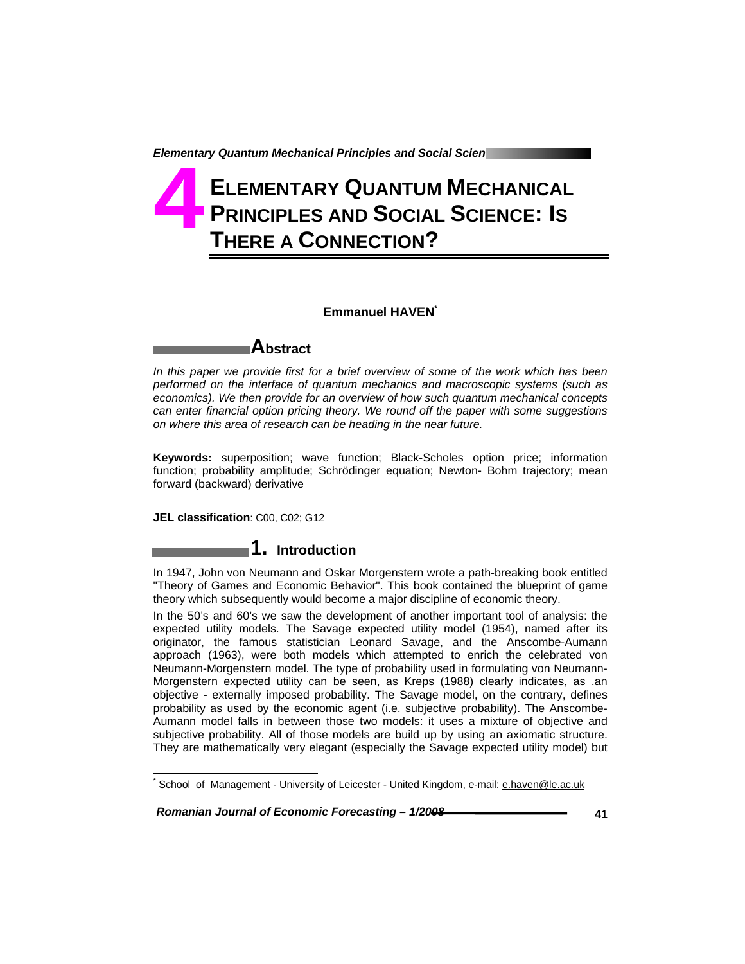# **ELEMENTARY QUANTUM MECHANICAL PRINCIPLES AND SOCIAL SCIENCE: IS THERE A CONNECTION? 4**

# **Emmanuel HAVEN\***

# **Abstract**

*In this paper we provide first for a brief overview of some of the work which has been performed on the interface of quantum mechanics and macroscopic systems (such as economics). We then provide for an overview of how such quantum mechanical concepts can enter financial option pricing theory. We round off the paper with some suggestions on where this area of research can be heading in the near future.* 

**Keywords:** superposition; wave function; Black-Scholes option price; information function; probability amplitude; Schrödinger equation; Newton- Bohm trajectory; mean forward (backward) derivative

**JEL classification**: C00, C02; G12

1

# **1. Introduction**

In 1947, John von Neumann and Oskar Morgenstern wrote a path-breaking book entitled "Theory of Games and Economic Behavior". This book contained the blueprint of game theory which subsequently would become a major discipline of economic theory.

In the 50's and 60's we saw the development of another important tool of analysis: the expected utility models. The Savage expected utility model (1954), named after its originator, the famous statistician Leonard Savage, and the Anscombe-Aumann approach (1963), were both models which attempted to enrich the celebrated von Neumann-Morgenstern model. The type of probability used in formulating von Neumann-Morgenstern expected utility can be seen, as Kreps (1988) clearly indicates, as .an objective - externally imposed probability. The Savage model, on the contrary, defines probability as used by the economic agent (i.e. subjective probability). The Anscombe-Aumann model falls in between those two models: it uses a mixture of objective and subjective probability. All of those models are build up by using an axiomatic structure. They are mathematically very elegant (especially the Savage expected utility model) but

 *Romanian Journal of Economic Forecasting – 1/2008* **41**

<sup>\*</sup> School of Management - University of Leicester - United Kingdom, e-mail: **e.haven@le.ac.uk**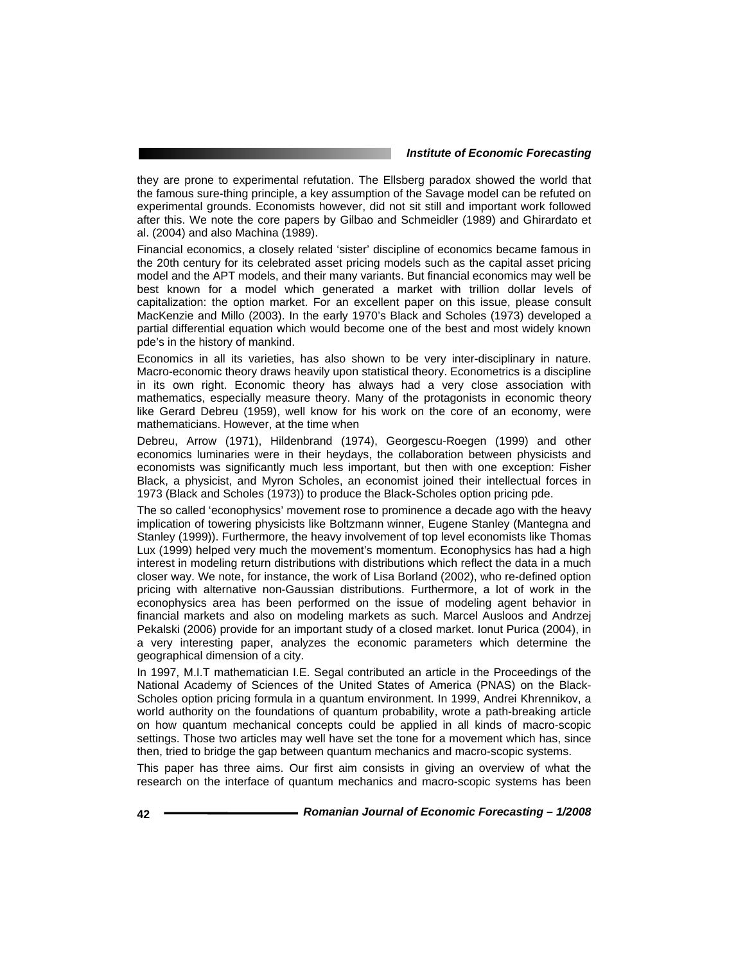they are prone to experimental refutation. The Ellsberg paradox showed the world that the famous sure-thing principle, a key assumption of the Savage model can be refuted on experimental grounds. Economists however, did not sit still and important work followed after this. We note the core papers by Gilbao and Schmeidler (1989) and Ghirardato et al. (2004) and also Machina (1989).

Financial economics, a closely related 'sister' discipline of economics became famous in the 20th century for its celebrated asset pricing models such as the capital asset pricing model and the APT models, and their many variants. But financial economics may well be best known for a model which generated a market with trillion dollar levels of capitalization: the option market. For an excellent paper on this issue, please consult MacKenzie and Millo (2003). In the early 1970's Black and Scholes (1973) developed a partial differential equation which would become one of the best and most widely known pde's in the history of mankind.

Economics in all its varieties, has also shown to be very inter-disciplinary in nature. Macro-economic theory draws heavily upon statistical theory. Econometrics is a discipline in its own right. Economic theory has always had a very close association with mathematics, especially measure theory. Many of the protagonists in economic theory like Gerard Debreu (1959), well know for his work on the core of an economy, were mathematicians. However, at the time when

Debreu, Arrow (1971), Hildenbrand (1974), Georgescu-Roegen (1999) and other economics luminaries were in their heydays, the collaboration between physicists and economists was significantly much less important, but then with one exception: Fisher Black, a physicist, and Myron Scholes, an economist joined their intellectual forces in 1973 (Black and Scholes (1973)) to produce the Black-Scholes option pricing pde.

The so called 'econophysics' movement rose to prominence a decade ago with the heavy implication of towering physicists like Boltzmann winner, Eugene Stanley (Mantegna and Stanley (1999)). Furthermore, the heavy involvement of top level economists like Thomas Lux (1999) helped very much the movement's momentum. Econophysics has had a high interest in modeling return distributions with distributions which reflect the data in a much closer way. We note, for instance, the work of Lisa Borland (2002), who re-defined option pricing with alternative non-Gaussian distributions. Furthermore, a lot of work in the econophysics area has been performed on the issue of modeling agent behavior in financial markets and also on modeling markets as such. Marcel Ausloos and Andrzej Pekalski (2006) provide for an important study of a closed market. Ionut Purica (2004), in a very interesting paper, analyzes the economic parameters which determine the geographical dimension of a city.

In 1997, M.I.T mathematician I.E. Segal contributed an article in the Proceedings of the National Academy of Sciences of the United States of America (PNAS) on the Black-Scholes option pricing formula in a quantum environment. In 1999, Andrei Khrennikov, a world authority on the foundations of quantum probability, wrote a path-breaking article on how quantum mechanical concepts could be applied in all kinds of macro-scopic settings. Those two articles may well have set the tone for a movement which has, since then, tried to bridge the gap between quantum mechanics and macro-scopic systems.

This paper has three aims. Our first aim consists in giving an overview of what the research on the interface of quantum mechanics and macro-scopic systems has been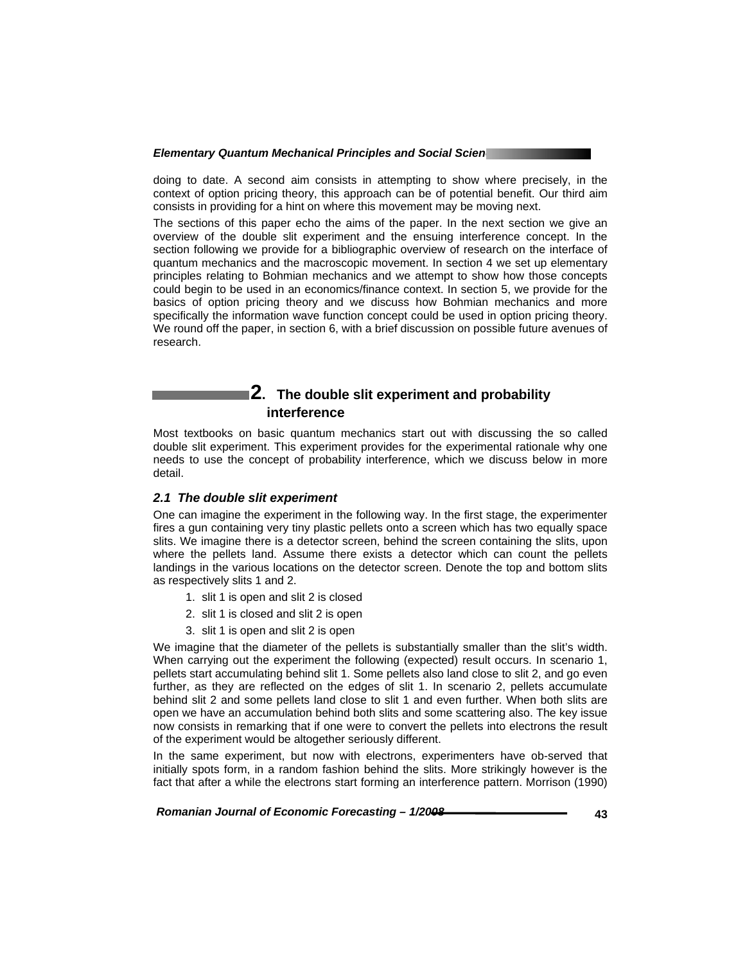doing to date. A second aim consists in attempting to show where precisely, in the context of option pricing theory, this approach can be of potential benefit. Our third aim consists in providing for a hint on where this movement may be moving next.

The sections of this paper echo the aims of the paper. In the next section we give an overview of the double slit experiment and the ensuing interference concept. In the section following we provide for a bibliographic overview of research on the interface of quantum mechanics and the macroscopic movement. In section 4 we set up elementary principles relating to Bohmian mechanics and we attempt to show how those concepts could begin to be used in an economics/finance context. In section 5, we provide for the basics of option pricing theory and we discuss how Bohmian mechanics and more specifically the information wave function concept could be used in option pricing theory. We round off the paper, in section 6, with a brief discussion on possible future avenues of research.

# **2. The double slit experiment and probability interference**

Most textbooks on basic quantum mechanics start out with discussing the so called double slit experiment. This experiment provides for the experimental rationale why one needs to use the concept of probability interference, which we discuss below in more detail.

# *2.1 The double slit experiment*

One can imagine the experiment in the following way. In the first stage, the experimenter fires a gun containing very tiny plastic pellets onto a screen which has two equally space slits. We imagine there is a detector screen, behind the screen containing the slits, upon where the pellets land. Assume there exists a detector which can count the pellets landings in the various locations on the detector screen. Denote the top and bottom slits as respectively slits 1 and 2.

- 1. slit 1 is open and slit 2 is closed
- 2. slit 1 is closed and slit 2 is open
- 3. slit 1 is open and slit 2 is open

We imagine that the diameter of the pellets is substantially smaller than the slit's width. When carrying out the experiment the following (expected) result occurs. In scenario 1, pellets start accumulating behind slit 1. Some pellets also land close to slit 2, and go even further, as they are reflected on the edges of slit 1. In scenario 2, pellets accumulate behind slit 2 and some pellets land close to slit 1 and even further. When both slits are open we have an accumulation behind both slits and some scattering also. The key issue now consists in remarking that if one were to convert the pellets into electrons the result of the experiment would be altogether seriously different.

In the same experiment, but now with electrons, experimenters have ob-served that initially spots form, in a random fashion behind the slits. More strikingly however is the fact that after a while the electrons start forming an interference pattern. Morrison (1990)

Romanian Journal of Economic Forecasting –  $1/2008$ <br>43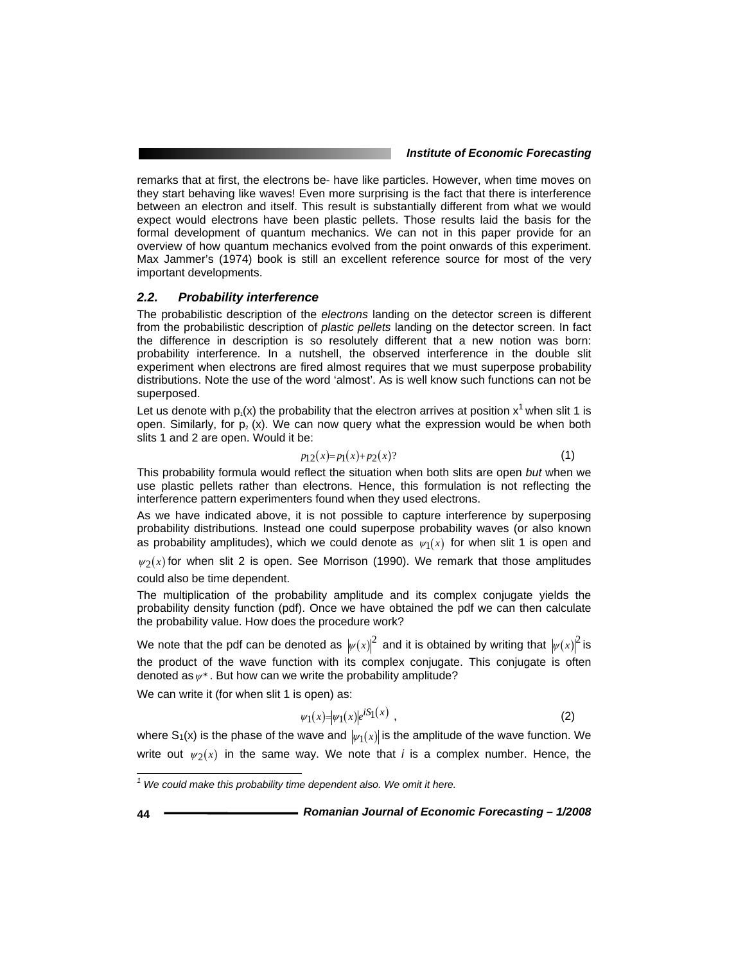remarks that at first, the electrons be- have like particles. However, when time moves on they start behaving like waves! Even more surprising is the fact that there is interference between an electron and itself. This result is substantially different from what we would expect would electrons have been plastic pellets. Those results laid the basis for the formal development of quantum mechanics. We can not in this paper provide for an overview of how quantum mechanics evolved from the point onwards of this experiment. Max Jammer's (1974) book is still an excellent reference source for most of the very important developments.

## *2.2. Probability interference*

The probabilistic description of the *electrons* landing on the detector screen is different from the probabilistic description of *plastic pellets* landing on the detector screen. In fact the difference in description is so resolutely different that a new notion was born: probability interference. In a nutshell, the observed interference in the double slit experiment when electrons are fired almost requires that we must superpose probability distributions. Note the use of the word 'almost'. As is well know such functions can not be superposed.

Let us denote with  $p_1(x)$  the probability that the electron arrives at position x<sup>1</sup> when slit 1 is open. Similarly, for  $p_2(x)$ . We can now query what the expression would be when both slits 1 and 2 are open. Would it be:

$$
p_{12}(x) = p_1(x) + p_2(x) ? \tag{1}
$$

This probability formula would reflect the situation when both slits are open *but* when we use plastic pellets rather than electrons. Hence, this formulation is not reflecting the interference pattern experimenters found when they used electrons.

As we have indicated above, it is not possible to capture interference by superposing probability distributions. Instead one could superpose probability waves (or also known as probability amplitudes), which we could denote as  $\psi_1(x)$  for when slit 1 is open and

 $\psi_2(x)$  for when slit 2 is open. See Morrison (1990). We remark that those amplitudes could also be time dependent.

The multiplication of the probability amplitude and its complex conjugate yields the probability density function (pdf). Once we have obtained the pdf we can then calculate the probability value. How does the procedure work?

We note that the pdf can be denoted as  $|\psi(x)|^2$  and it is obtained by writing that  $|\psi(x)|^2$  is the product of the wave function with its complex conjugate. This conjugate is often denoted as  $\psi^*$ . But how can we write the probability amplitude?

We can write it (for when slit 1 is open) as:

$$
\psi_1(x) = |\psi_1(x)|e^{iS_1(x)}\tag{2}
$$

where S<sub>1</sub>(x) is the phase of the wave and  $|\psi_1(x)|$  is the amplitude of the wave function. We write out  $\psi_2(x)$  in the same way. We note that *i* is a complex number. Hence, the

l

<sup>&</sup>lt;sup>1</sup> We could make this probability time dependent also. We omit it here.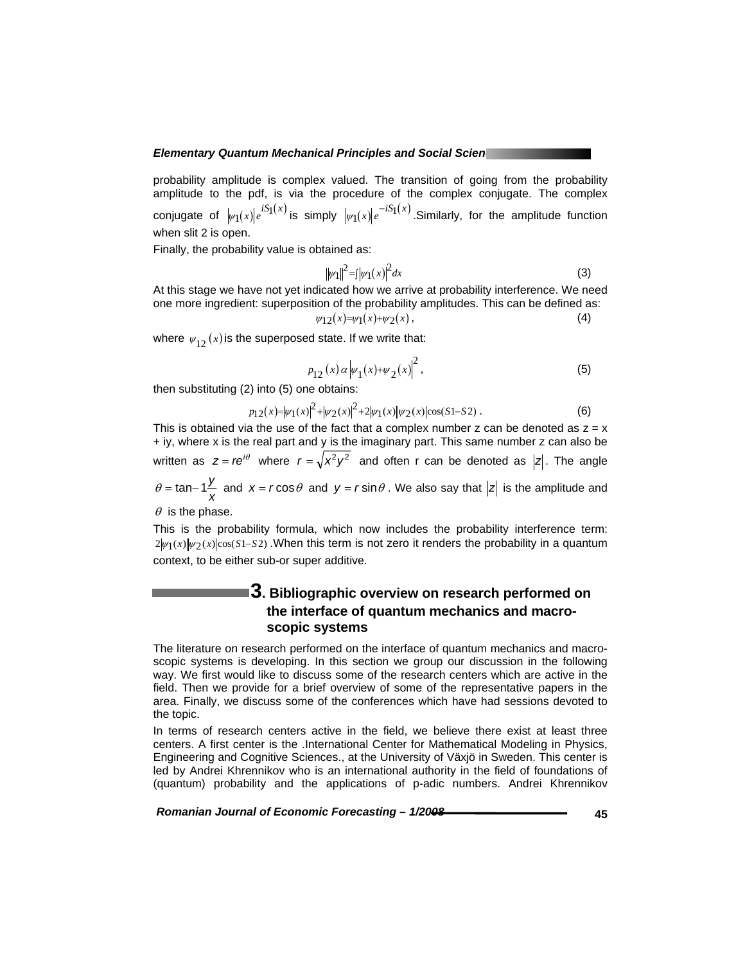probability amplitude is complex valued. The transition of going from the probability amplitude to the pdf, is via the procedure of the complex conjugate. The complex conjugate of  $|\psi_1(x)|e^{iS_1(x)}$  is simply  $|\psi_1(x)|e^{-iS_1(x)}$ . Similarly, for the amplitude function when slit 2 is open.

Finally, the probability value is obtained as:

$$
\|\psi_1\|^2 = \frac{1}{2} |\psi_1(x)|^2 dx \tag{3}
$$

At this stage we have not yet indicated how we arrive at probability interference. We need one more ingredient: superposition of the probability amplitudes. This can be defined as:  $\psi_1 \gamma_2(x) = \psi_1(x) + \psi_2(x)$ , (4)

$$
1(x)+\psi_2(x),
$$

where  $\psi_{12}(x)$  is the superposed state. If we write that:

$$
p_{12}(x) \alpha |\psi_1(x) + \psi_2(x)|^2
$$
, (5)

then substituting (2) into (5) one obtains:

$$
p_{12}(x) = |\psi_1(x)|^2 + |\psi_2(x)|^2 + 2|\psi_1(x)| |\psi_2(x)| \cos(S1 - S2).
$$
 (6)

This is obtained via the use of the fact that a complex number  $z$  can be denoted as  $z = x$ + iy, where x is the real part and y is the imaginary part. This same number z can also be written as  $z = re^{i\theta}$  where  $r = \sqrt{x^2 y^2}$  and often r can be denoted as  $|z|$ . The angle  $\theta = \tan-\frac{1}{x}$  and  $x = r\cos\theta$  and  $y = r\sin\theta$ . We also say that  $|z|$  is the amplitude and  $\theta$  is the phase.

This is the probability formula, which now includes the probability interference term: 2|*ψ* 1(*x*)|*ψ* 2(*x*)|cos(*S*1−*S*2). When this term is not zero it renders the probability in a quantum context, to be either sub-or super additive.

# **3. Bibliographic overview on research performed on the interface of quantum mechanics and macroscopic systems**

The literature on research performed on the interface of quantum mechanics and macroscopic systems is developing. In this section we group our discussion in the following way. We first would like to discuss some of the research centers which are active in the field. Then we provide for a brief overview of some of the representative papers in the area. Finally, we discuss some of the conferences which have had sessions devoted to the topic.

In terms of research centers active in the field, we believe there exist at least three centers. A first center is the .International Center for Mathematical Modeling in Physics, Engineering and Cognitive Sciences., at the University of Växjö in Sweden. This center is led by Andrei Khrennikov who is an international authority in the field of foundations of (quantum) probability and the applications of p-adic numbers. Andrei Khrennikov

 *Romanian Journal of Economic Forecasting – 1/2008* **45**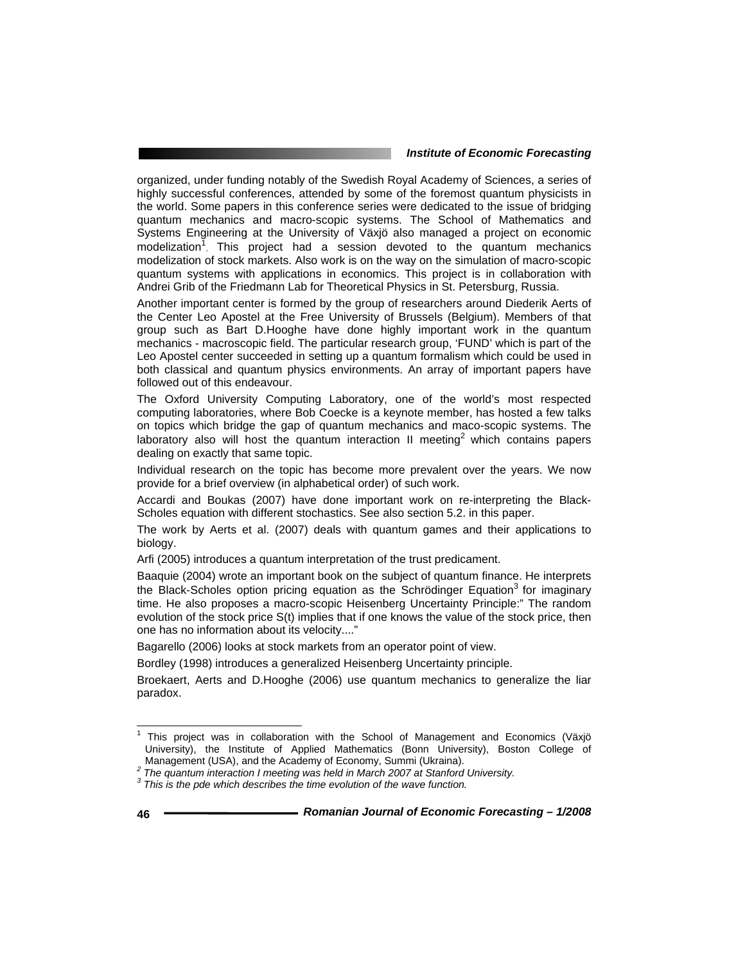organized, under funding notably of the Swedish Royal Academy of Sciences, a series of highly successful conferences, attended by some of the foremost quantum physicists in the world. Some papers in this conference series were dedicated to the issue of bridging quantum mechanics and macro-scopic systems. The School of Mathematics and Systems Engineering at the University of Växjö also managed a project on economic modelization<sup>1</sup>. This project had a session devoted to the quantum mechanics modelization of stock markets. Also work is on the way on the simulation of macro-scopic quantum systems with applications in economics. This project is in collaboration with Andrei Grib of the Friedmann Lab for Theoretical Physics in St. Petersburg, Russia.

Another important center is formed by the group of researchers around Diederik Aerts of the Center Leo Apostel at the Free University of Brussels (Belgium). Members of that group such as Bart D.Hooghe have done highly important work in the quantum mechanics - macroscopic field. The particular research group, 'FUND' which is part of the Leo Apostel center succeeded in setting up a quantum formalism which could be used in both classical and quantum physics environments. An array of important papers have followed out of this endeavour.

The Oxford University Computing Laboratory, one of the world's most respected computing laboratories, where Bob Coecke is a keynote member, has hosted a few talks on topics which bridge the gap of quantum mechanics and maco-scopic systems. The laboratory also will host the quantum interaction II meeting<sup>2</sup> which contains papers dealing on exactly that same topic.

Individual research on the topic has become more prevalent over the years. We now provide for a brief overview (in alphabetical order) of such work.

Accardi and Boukas (2007) have done important work on re-interpreting the Black-Scholes equation with different stochastics. See also section 5.2. in this paper.

The work by Aerts et al. (2007) deals with quantum games and their applications to biology.

Arfi (2005) introduces a quantum interpretation of the trust predicament.

Baaquie (2004) wrote an important book on the subject of quantum finance. He interprets the Black-Scholes option pricing equation as the Schrödinger Equation<sup>3</sup> for imaginary time. He also proposes a macro-scopic Heisenberg Uncertainty Principle:" The random evolution of the stock price S(t) implies that if one knows the value of the stock price, then one has no information about its velocity...."

Bagarello (2006) looks at stock markets from an operator point of view.

Bordley (1998) introduces a generalized Heisenberg Uncertainty principle.

Broekaert, Aerts and D.Hooghe (2006) use quantum mechanics to generalize the liar paradox.

l

<sup>1</sup> This project was in collaboration with the School of Management and Economics (Växjö University), the Institute of Applied Mathematics (Bonn University), Boston College of

Management (USA), and the Academy of Economy, Summi (Ukraina).<br><sup>2</sup> The quantum interaction I meeting was held in March 2007 at Stanford University.

<sup>&</sup>lt;sup>3</sup> This is the pde which describes the time evolution of the wave function.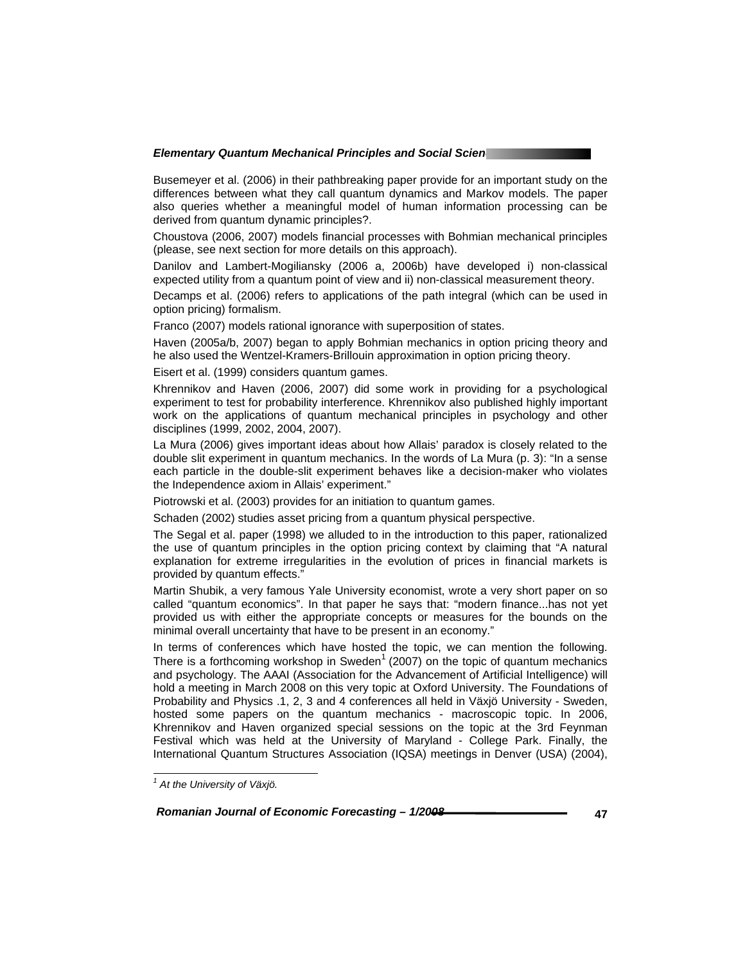Busemeyer et al. (2006) in their pathbreaking paper provide for an important study on the differences between what they call quantum dynamics and Markov models. The paper also queries whether a meaningful model of human information processing can be derived from quantum dynamic principles?.

Choustova (2006, 2007) models financial processes with Bohmian mechanical principles (please, see next section for more details on this approach).

Danilov and Lambert-Mogiliansky (2006 a, 2006b) have developed i) non-classical expected utility from a quantum point of view and ii) non-classical measurement theory.

Decamps et al. (2006) refers to applications of the path integral (which can be used in option pricing) formalism.

Franco (2007) models rational ignorance with superposition of states.

Haven (2005a/b, 2007) began to apply Bohmian mechanics in option pricing theory and he also used the Wentzel-Kramers-Brillouin approximation in option pricing theory.

Eisert et al. (1999) considers quantum games.

Khrennikov and Haven (2006, 2007) did some work in providing for a psychological experiment to test for probability interference. Khrennikov also published highly important work on the applications of quantum mechanical principles in psychology and other disciplines (1999, 2002, 2004, 2007).

La Mura (2006) gives important ideas about how Allais' paradox is closely related to the double slit experiment in quantum mechanics. In the words of La Mura (p. 3): "In a sense each particle in the double-slit experiment behaves like a decision-maker who violates the Independence axiom in Allais' experiment."

Piotrowski et al. (2003) provides for an initiation to quantum games.

Schaden (2002) studies asset pricing from a quantum physical perspective.

The Segal et al. paper (1998) we alluded to in the introduction to this paper, rationalized the use of quantum principles in the option pricing context by claiming that "A natural explanation for extreme irregularities in the evolution of prices in financial markets is provided by quantum effects."

Martin Shubik, a very famous Yale University economist, wrote a very short paper on so called "quantum economics". In that paper he says that: "modern finance...has not yet provided us with either the appropriate concepts or measures for the bounds on the minimal overall uncertainty that have to be present in an economy."

In terms of conferences which have hosted the topic, we can mention the following. There is a forthcoming workshop in Sweden<sup>1</sup> (2007) on the topic of quantum mechanics and psychology. The AAAI (Association for the Advancement of Artificial Intelligence) will hold a meeting in March 2008 on this very topic at Oxford University. The Foundations of Probability and Physics .1, 2, 3 and 4 conferences all held in Växjö University - Sweden, hosted some papers on the quantum mechanics - macroscopic topic. In 2006, Khrennikov and Haven organized special sessions on the topic at the 3rd Feynman Festival which was held at the University of Maryland - College Park. Finally, the International Quantum Structures Association (IQSA) meetings in Denver (USA) (2004),

 *Romanian Journal of Economic Forecasting – 1/2008* **47**

 *1 At the University of Växjö.*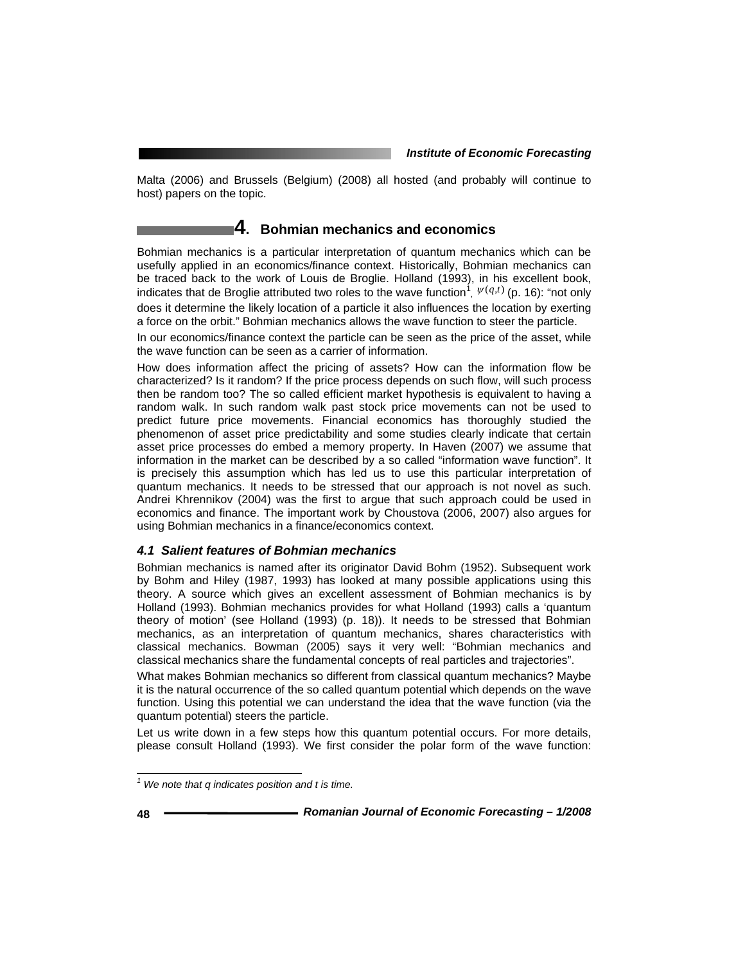Malta (2006) and Brussels (Belgium) (2008) all hosted (and probably will continue to host) papers on the topic.

# **4. Bohmian mechanics and economics**

Bohmian mechanics is a particular interpretation of quantum mechanics which can be usefully applied in an economics/finance context. Historically, Bohmian mechanics can be traced back to the work of Louis de Broglie. Holland (1993), in his excellent book, indicates that de Broglie attributed two roles to the wave function<sup>1</sup>,  $\psi(q,t)$  (p. 16): "not only does it determine the likely location of a particle it also influences the location by exerting a force on the orbit." Bohmian mechanics allows the wave function to steer the particle.

In our economics/finance context the particle can be seen as the price of the asset, while the wave function can be seen as a carrier of information.

How does information affect the pricing of assets? How can the information flow be characterized? Is it random? If the price process depends on such flow, will such process then be random too? The so called efficient market hypothesis is equivalent to having a random walk. In such random walk past stock price movements can not be used to predict future price movements. Financial economics has thoroughly studied the phenomenon of asset price predictability and some studies clearly indicate that certain asset price processes do embed a memory property. In Haven (2007) we assume that information in the market can be described by a so called "information wave function". It is precisely this assumption which has led us to use this particular interpretation of quantum mechanics. It needs to be stressed that our approach is not novel as such. Andrei Khrennikov (2004) was the first to argue that such approach could be used in economics and finance. The important work by Choustova (2006, 2007) also argues for using Bohmian mechanics in a finance/economics context.

# *4.1 Salient features of Bohmian mechanics*

Bohmian mechanics is named after its originator David Bohm (1952). Subsequent work by Bohm and Hiley (1987, 1993) has looked at many possible applications using this theory. A source which gives an excellent assessment of Bohmian mechanics is by Holland (1993). Bohmian mechanics provides for what Holland (1993) calls a 'quantum theory of motion' (see Holland (1993) (p. 18)). It needs to be stressed that Bohmian mechanics, as an interpretation of quantum mechanics, shares characteristics with classical mechanics. Bowman (2005) says it very well: "Bohmian mechanics and classical mechanics share the fundamental concepts of real particles and trajectories".

What makes Bohmian mechanics so different from classical quantum mechanics? Maybe it is the natural occurrence of the so called quantum potential which depends on the wave function. Using this potential we can understand the idea that the wave function (via the quantum potential) steers the particle.

Let us write down in a few steps how this quantum potential occurs. For more details, please consult Holland (1993). We first consider the polar form of the wave function:

 *1 We note that q indicates position and t is time.*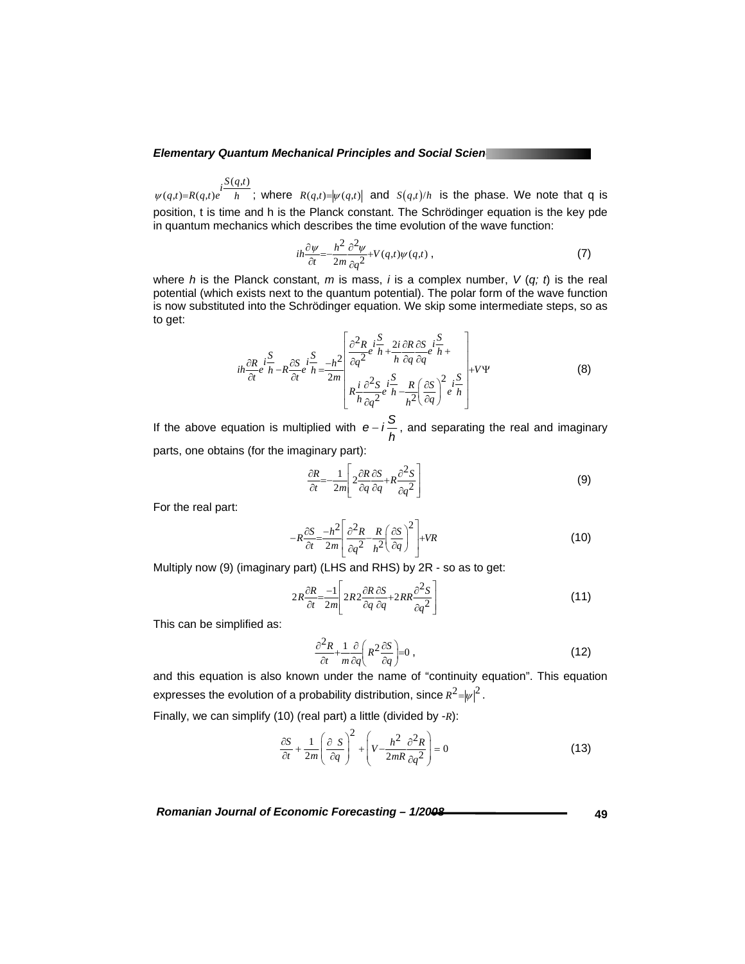$(q,t)$  $\psi(q,t)=R(q,t)e^{iS(q,t)}$ ; where  $R(q,t)=|\psi(q,t)|$  and  $S(q,t)/h$  is the phase. We note that q is position, t is time and h is the Planck constant. The Schrödinger equation is the key pde in quantum mechanics which describes the time evolution of the wave function:

$$
ih\frac{\partial \psi}{\partial t} = -\frac{h^2}{2m} \frac{\partial^2 \psi}{\partial q^2} + V(q,t)\psi(q,t) ,
$$
 (7)

where *h* is the Planck constant, *m* is mass, *i* is a complex number, *V* (*q; t*) is the real potential (which exists next to the quantum potential). The polar form of the wave function is now substituted into the Schrödinger equation. We skip some intermediate steps, so as to get:

$$
i\hbar \frac{\partial R}{\partial t} i \frac{S}{h} - R \frac{\partial S}{\partial t} i \frac{S}{h} = -\frac{h^2}{2m} \left[ \frac{\partial^2 R}{\partial q^2} e^{i \frac{S}{h}} + \frac{2i}{h} \frac{\partial R}{\partial q} \frac{\partial S}{\partial q} i \frac{S}{h} + \frac{1}{2m} \right] + V \Psi
$$
(8)

If the above equation is multiplied with  $e - i\frac{S}{h}$ , and separating the real and imaginary parts, one obtains (for the imaginary part):

$$
\frac{\partial R}{\partial t} = -\frac{1}{2m} \left[ 2 \frac{\partial R}{\partial q} \frac{\partial S}{\partial q} + R \frac{\partial^2 S}{\partial q^2} \right]
$$
(9)

For the real part:

$$
-R\frac{\partial S}{\partial t} = \frac{-h^2}{2m} \left[ \frac{\partial^2 R}{\partial q^2} - \frac{R}{h^2} \left( \frac{\partial S}{\partial q} \right)^2 \right] + VR \tag{10}
$$

Multiply now (9) (imaginary part) (LHS and RHS) by 2R - so as to get:

$$
2R\frac{\partial R}{\partial t} = \frac{-1}{2m} \left[ 2R2 \frac{\partial R}{\partial q} \frac{\partial S}{\partial q} + 2RR \frac{\partial^2 S}{\partial q^2} \right]
$$
(11)

This can be simplified as:

$$
\frac{\partial^2 R}{\partial t} + \frac{1}{m} \frac{\partial}{\partial q} \left( R^2 \frac{\partial S}{\partial q} \right) = 0 \tag{12}
$$

and this equation is also known under the name of "continuity equation". This equation expresses the evolution of a probability distribution, since  $R^2 = |\psi|^2$ . Finally, we can simplify (10) (real part) a little (divided by -*R*):

$$
\frac{\partial S}{\partial t} + \frac{1}{2m} \left( \frac{\partial S}{\partial q} \right)^2 + \left( V - \frac{h^2}{2mR} \frac{\partial^2 R}{\partial q^2} \right) = 0 \tag{13}
$$

Romanian Journal of Economic Forecasting –  $1/2008$ <br>49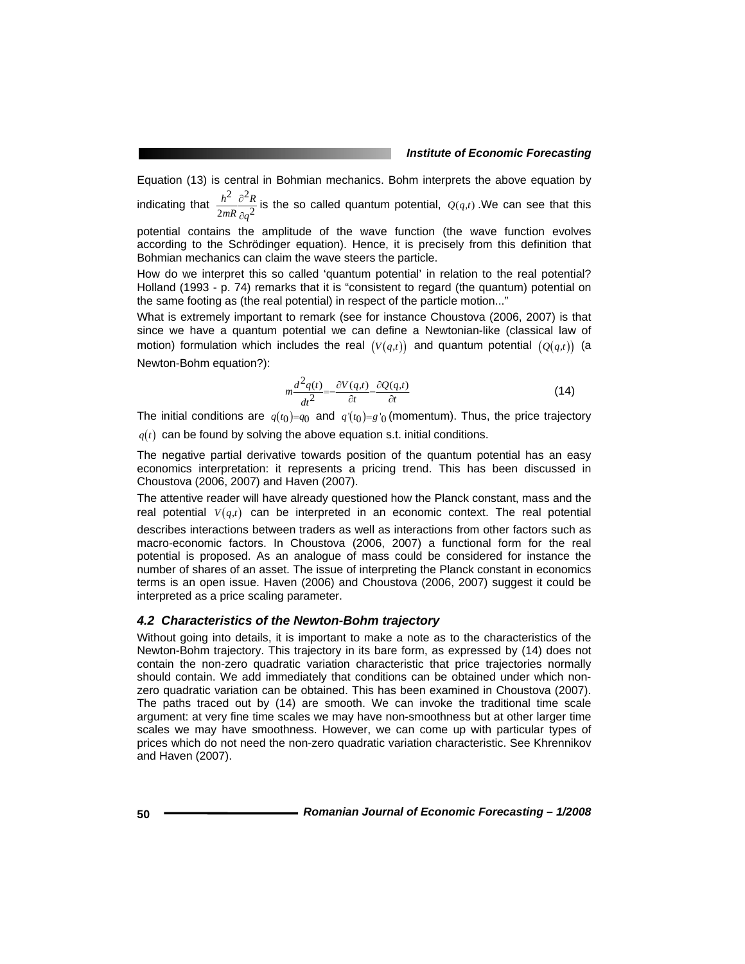Equation (13) is central in Bohmian mechanics. Bohm interprets the above equation by 2  $a^2$  $h^2$   $\partial^2 R$ ∂

indicating that  $2mR$   $\partial a^2$  $mR$   $\partial q$ ∂ is the so called quantum potential,  $Q(q,t)$ . We can see that this

potential contains the amplitude of the wave function (the wave function evolves according to the Schrödinger equation). Hence, it is precisely from this definition that Bohmian mechanics can claim the wave steers the particle.

How do we interpret this so called 'quantum potential' in relation to the real potential? Holland (1993 - p. 74) remarks that it is "consistent to regard (the quantum) potential on the same footing as (the real potential) in respect of the particle motion..."

What is extremely important to remark (see for instance Choustova (2006, 2007) is that since we have a quantum potential we can define a Newtonian-like (classical law of motion) formulation which includes the real  $(V(q,t))$  and quantum potential  $(Q(q,t))$  (a Newton-Bohm equation?):

$$
m\frac{d^2q(t)}{dt^2} = -\frac{\partial V(q,t)}{\partial t} - \frac{\partial Q(q,t)}{\partial t}
$$
 (14)

The initial conditions are  $q(t_0) = q_0$  and  $q'(t_0) = g'_0$  (momentum). Thus, the price trajectory

 $q(t)$  can be found by solving the above equation s.t. initial conditions.

The negative partial derivative towards position of the quantum potential has an easy economics interpretation: it represents a pricing trend. This has been discussed in Choustova (2006, 2007) and Haven (2007).

The attentive reader will have already questioned how the Planck constant, mass and the real potential  $V(q,t)$  can be interpreted in an economic context. The real potential describes interactions between traders as well as interactions from other factors such as macro-economic factors. In Choustova (2006, 2007) a functional form for the real potential is proposed. As an analogue of mass could be considered for instance the number of shares of an asset. The issue of interpreting the Planck constant in economics terms is an open issue. Haven (2006) and Choustova (2006, 2007) suggest it could be interpreted as a price scaling parameter.

### *4.2 Characteristics of the Newton-Bohm trajectory*

Without going into details, it is important to make a note as to the characteristics of the Newton-Bohm trajectory. This trajectory in its bare form, as expressed by (14) does not contain the non-zero quadratic variation characteristic that price trajectories normally should contain. We add immediately that conditions can be obtained under which nonzero quadratic variation can be obtained. This has been examined in Choustova (2007). The paths traced out by (14) are smooth. We can invoke the traditional time scale argument: at very fine time scales we may have non-smoothness but at other larger time scales we may have smoothness. However, we can come up with particular types of prices which do not need the non-zero quadratic variation characteristic. See Khrennikov and Haven (2007).

**50** *Romanian Journal of Economic Forecasting – 1/2008*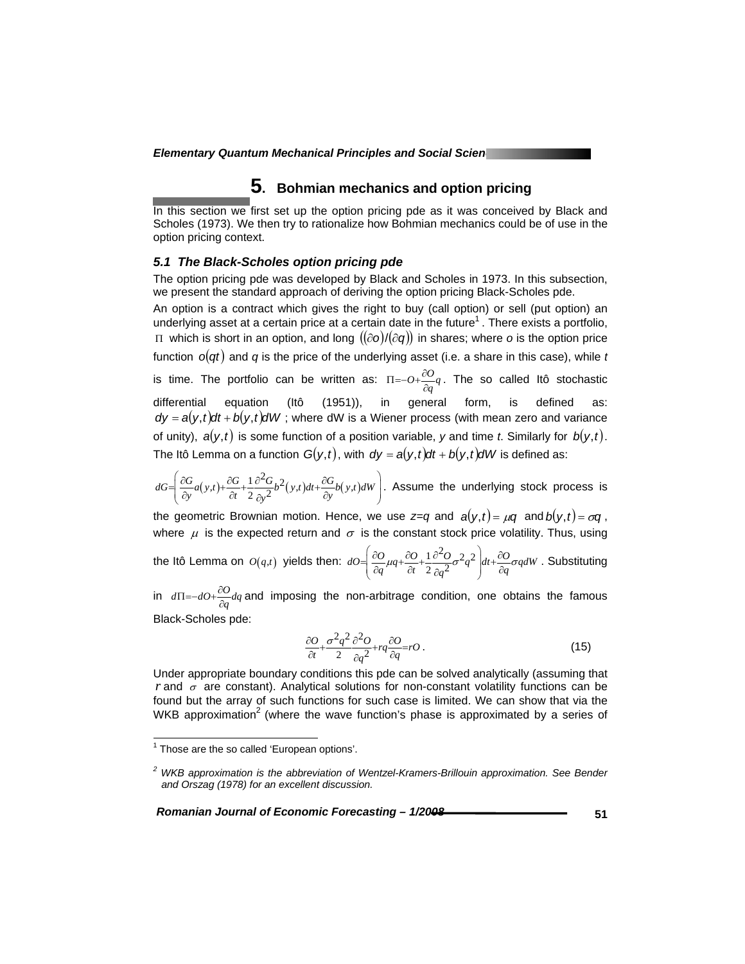# **5. Bohmian mechanics and option pricing**

In this section we first set up the option pricing pde as it was conceived by Black and Scholes (1973). We then try to rationalize how Bohmian mechanics could be of use in the option pricing context.

# *5.1 The Black-Scholes option pricing pde*

The option pricing pde was developed by Black and Scholes in 1973. In this subsection, we present the standard approach of deriving the option pricing Black-Scholes pde.

An option is a contract which gives the right to buy (call option) or sell (put option) an underlying asset at a certain price at a certain date in the future<sup>1</sup>. There exists a portfolio, Π which is short in an option, and long ((∂*o*)/(∂*q*)) in shares; where *o* is the option price function  $o(qt)$  and *q* is the price of the underlying asset (i.e. a share in this case), while *t* is time. The portfolio can be written as:  $\Pi = -O + \frac{\partial O}{\partial q}q$ . The so called Itô stochastic differential equation (Itô (1951)), in general form, is defined as:  $dy = a(y, t)dt + b(y, t) dW$ ; where dW is a Wiener process (with mean zero and variance of unity),  $a(y, t)$  is some function of a position variable, y and time *t*. Similarly for  $b(y, t)$ . The Itô Lemma on a function  $G(y,t)$ , with  $dy = a(y,t)dt + b(y,t)dW$  is defined as:

 $dG = \left( \frac{\partial G}{\partial y} a(y,t) + \frac{\partial G}{\partial t} + \frac{1}{2} \frac{\partial^2 G}{\partial y^2} b^2(y,t) dt + \frac{\partial G}{\partial y} b(y,t) dW \right)$ *y*  $\partial t$   $2 \partial y^2$   $(y, y)$   $\partial y$  $=\left(\frac{\partial G}{\partial q}(y,t)+\frac{\partial G}{\partial t}+\frac{1}{2}\frac{\partial^2 G}{\partial p^2}(y,t)dt+\frac{\partial G}{\partial q}(y,t)dW\right)$  $\left[\frac{\partial G}{\partial y}a(y,t)+\frac{\partial G}{\partial t}+\frac{1}{2}\frac{\partial G}{\partial y^2}b^2(y,t)dt+\frac{\partial G}{\partial y}b(y,t)dW\right]$ . Assume the underlying stock process is

the geometric Brownian motion. Hence, we use  $z=q$  and  $a(y,t) = \mu q$  and  $b(y,t) = \sigma q$ , where  $\mu$  is the expected return and  $\sigma$  is the constant stock price volatility. Thus, using

the Itô Lemma on  $O(q,t)$  yields then:  $dO = \left( \frac{\partial O}{\partial q} \mu q + \frac{\partial O}{\partial r} + \frac{1}{2} \frac{\partial^2 O}{\partial q} \sigma^2 q^2 \right)$  $dO = \left| \frac{\partial O}{\partial q} \mu q + \frac{\partial O}{\partial t} + \frac{1}{2} \frac{\partial^2 O}{\partial q^2} \sigma^2 q^2 \right| dt + \frac{\partial O}{\partial q} \sigma q dW$  $=\left(\frac{\partial O}{\partial q}\mu q + \frac{\partial O}{\partial t} + \frac{1}{2}\frac{\partial^2 O}{\partial q^2}\sigma^2 q^2\right)dt + \frac{\partial O}{\partial q}\sigma$  $\left(\frac{\partial}{\partial q}\mu q + \frac{\partial}{\partial t} + \frac{\partial}{2}\frac{\partial}{\partial q^2}\sigma^2 q^2\right)dt + \frac{\partial}{\partial q}\sigma q dW$ . Substituting

in  $d\Pi$ =− $d$ O+ $\frac{\partial O}{\partial q}$ *dq* and imposing the non-arbitrage condition, one obtains the famous Black-Scholes pde:

$$
\frac{\partial O}{\partial t} + \frac{\sigma^2 q^2}{2} \frac{\partial^2 O}{\partial q^2} + r q \frac{\partial O}{\partial q} = r O \,. \tag{15}
$$

Under appropriate boundary conditions this pde can be solved analytically (assuming that *r* and  $\sigma$  are constant). Analytical solutions for non-constant volatility functions can be found but the array of such functions for such case is limited. We can show that via the WKB approximation<sup>2</sup> (where the wave function's phase is approximated by a series of

*Romanian Journal of Economic Forecasting – 1/2008 Algermanian Journal of Economic Forecasting – 1/2008* 

<sup>————————————————————&</sup>lt;br><sup>1</sup> Those are the so called 'European options'.

*<sup>2</sup> WKB approximation is the abbreviation of Wentzel-Kramers-Brillouin approximation. See Bender and Orszag (1978) for an excellent discussion.*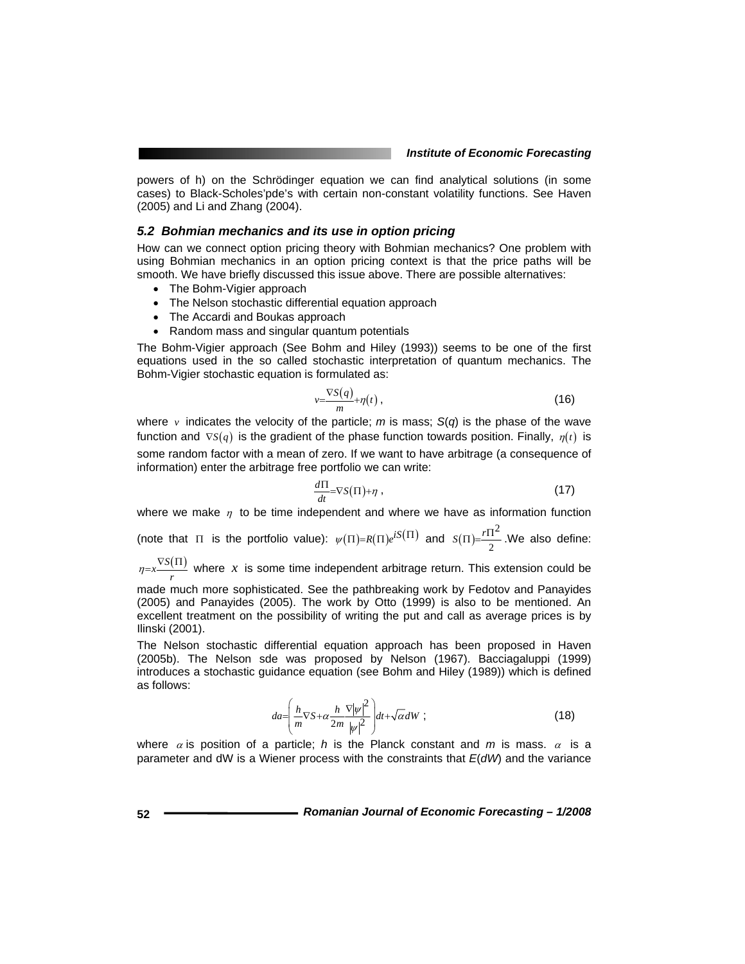powers of h) on the Schrödinger equation we can find analytical solutions (in some cases) to Black-Scholes'pde's with certain non-constant volatility functions. See Haven (2005) and Li and Zhang (2004).

### *5.2 Bohmian mechanics and its use in option pricing*

How can we connect option pricing theory with Bohmian mechanics? One problem with using Bohmian mechanics in an option pricing context is that the price paths will be smooth. We have briefly discussed this issue above. There are possible alternatives:

- The Bohm-Vigier approach
- The Nelson stochastic differential equation approach
- The Accardi and Boukas approach
- Random mass and singular quantum potentials

The Bohm-Vigier approach (See Bohm and Hiley (1993)) seems to be one of the first equations used in the so called stochastic interpretation of quantum mechanics. The Bohm-Vigier stochastic equation is formulated as:

$$
v = \frac{\nabla S(q)}{m} + \eta(t) \,,\tag{16}
$$

where  $\nu$  indicates the velocity of the particle; *m* is mass; *S(q)* is the phase of the wave function and  $\nabla S(q)$  is the gradient of the phase function towards position. Finally,  $\eta(t)$  is some random factor with a mean of zero. If we want to have arbitrage (a consequence of information) enter the arbitrage free portfolio we can write:

$$
\frac{d\Pi}{dt} = \nabla S(\Pi) + \eta \tag{17}
$$

where we make  $\eta$  to be time independent and where we have as information function

(note that  $\Pi$  is the portfolio value):  $\psi(\Pi) = R(\Pi) e^{iS(\Pi)}$  and  $S(\Pi) = \frac{r\Pi^2}{2\pi}$  $S(\Pi) = \frac{r \Pi^2}{2}$ . We also define:

 $\frac{\eta}{r}$  $\frac{\nabla S(\Pi)}{r}$  where *x* is some time independent arbitrage return. This extension could be

made much more sophisticated. See the pathbreaking work by Fedotov and Panayides (2005) and Panayides (2005). The work by Otto (1999) is also to be mentioned. An excellent treatment on the possibility of writing the put and call as average prices is by Ilinski (2001).

The Nelson stochastic differential equation approach has been proposed in Haven (2005b). The Nelson sde was proposed by Nelson (1967). Bacciagaluppi (1999) introduces a stochastic guidance equation (see Bohm and Hiley (1989)) which is defined as follows:

$$
da = \left(\frac{h}{m}\nabla S + \alpha \frac{h}{2m} \frac{\nabla |\psi|^2}{|\psi|^2}\right) dt + \sqrt{\alpha} dW ;
$$
 (18)

where  $\alpha$  is position of a particle; *h* is the Planck constant and *m* is mass.  $\alpha$  is a parameter and dW is a Wiener process with the constraints that *E*(*dW*) and the variance

**52** *Romanian Journal of Economic Forecasting – 1/2008*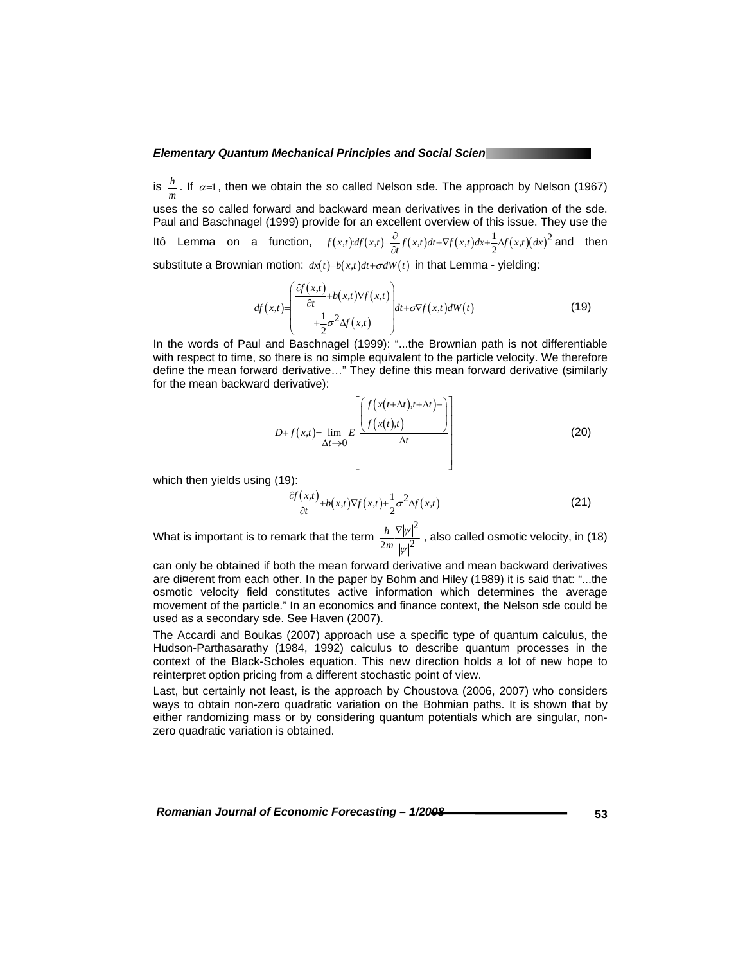is  $\frac{h}{m}$ . If  $\alpha$ =1, then we obtain the so called Nelson sde. The approach by Nelson (1967) uses the so called forward and backward mean derivatives in the derivation of the sde. Paul and Baschnagel (1999) provide for an excellent overview of this issue. They use the Itô Lemma on a function,  $f(x,t) = \frac{\partial}{\partial t} f(x,t) dt + \nabla f(x,t) dx + \frac{1}{2} \Delta f(x,t) (dx)^2$  and then substitute a Brownian motion:  $dx(t)=b(x,t)dt+\sigma dW(t)$  in that Lemma - yielding:

$$
df(x,t) = \begin{pmatrix} \frac{\partial f(x,t)}{\partial t} + b(x,t) \nabla f(x,t) \\ + \frac{1}{2} \sigma^2 \Delta f(x,t) \end{pmatrix} dt + \sigma \nabla f(x,t) dW(t)
$$
 (19)

In the words of Paul and Baschnagel (1999): "...the Brownian path is not differentiable with respect to time, so there is no simple equivalent to the particle velocity. We therefore define the mean forward derivative…" They define this mean forward derivative (similarly for the mean backward derivative):

$$
D+f(x,t)=\lim_{\Delta t\to 0}E\left[\frac{f(x(t+\Delta t),t+\Delta t)-\left(f(x(t),t)\right)}{\Delta t}\right]
$$
(20)

which then yields using (19):

$$
\frac{\partial f(x,t)}{\partial t} + b(x,t) \nabla f(x,t) + \frac{1}{2} \sigma^2 \Delta f(x,t)
$$
\n(21)

What is important is to remark that the term 2  $2m |w|^2$ *h m* ψ ψ  $\frac{\nabla |\psi|^2}{2}$ , also called osmotic velocity, in (18)

can only be obtained if both the mean forward derivative and mean backward derivatives are di¤erent from each other. In the paper by Bohm and Hiley (1989) it is said that: "...the osmotic velocity field constitutes active information which determines the average movement of the particle." In an economics and finance context, the Nelson sde could be used as a secondary sde. See Haven (2007).

The Accardi and Boukas (2007) approach use a specific type of quantum calculus, the Hudson-Parthasarathy (1984, 1992) calculus to describe quantum processes in the context of the Black-Scholes equation. This new direction holds a lot of new hope to reinterpret option pricing from a different stochastic point of view.

Last, but certainly not least, is the approach by Choustova (2006, 2007) who considers ways to obtain non-zero quadratic variation on the Bohmian paths. It is shown that by either randomizing mass or by considering quantum potentials which are singular, nonzero quadratic variation is obtained.

*Romanian Journal of Economic Forecasting – 1/2008 CONDERNIAL CONDERNIAL CONDERNIAL CONDERNIAL CONDERNIAL CONDERNIAL* **CONDERNIAL CONDERNIAL CONDERNIAL CONDERNIAL CONDERNIAL CONDERNIAL CONDERNIAL CONDERNIAL CONDERNIAL CO**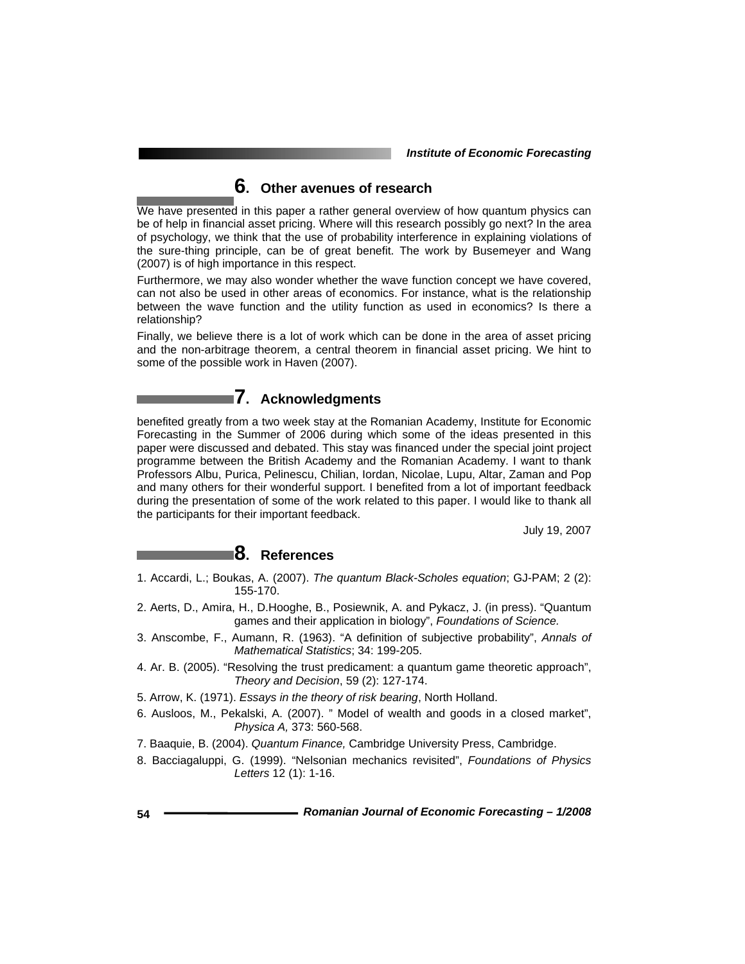# **6. Other avenues of research**

We have presented in this paper a rather general overview of how quantum physics can be of help in financial asset pricing. Where will this research possibly go next? In the area of psychology, we think that the use of probability interference in explaining violations of the sure-thing principle, can be of great benefit. The work by Busemeyer and Wang (2007) is of high importance in this respect.

Furthermore, we may also wonder whether the wave function concept we have covered, can not also be used in other areas of economics. For instance, what is the relationship between the wave function and the utility function as used in economics? Is there a relationship?

Finally, we believe there is a lot of work which can be done in the area of asset pricing and the non-arbitrage theorem, a central theorem in financial asset pricing. We hint to some of the possible work in Haven (2007).

# **7. Acknowledgments**

benefited greatly from a two week stay at the Romanian Academy, Institute for Economic Forecasting in the Summer of 2006 during which some of the ideas presented in this paper were discussed and debated. This stay was financed under the special joint project programme between the British Academy and the Romanian Academy. I want to thank Professors Albu, Purica, Pelinescu, Chilian, Iordan, Nicolae, Lupu, Altar, Zaman and Pop and many others for their wonderful support. I benefited from a lot of important feedback during the presentation of some of the work related to this paper. I would like to thank all the participants for their important feedback.

July 19, 2007

# **8. References**

- 1. Accardi, L.; Boukas, A. (2007). *The quantum Black-Scholes equation*; GJ-PAM; 2 (2): 155-170.
- 2. Aerts, D., Amira, H., D.Hooghe, B., Posiewnik, A. and Pykacz, J. (in press). "Quantum games and their application in biology", *Foundations of Science.*
- 3. Anscombe, F., Aumann, R. (1963). "A definition of subjective probability", *Annals of Mathematical Statistics*; 34: 199-205.
- 4. Ar. B. (2005). "Resolving the trust predicament: a quantum game theoretic approach", *Theory and Decision*, 59 (2): 127-174.
- 5. Arrow, K. (1971). *Essays in the theory of risk bearing*, North Holland.
- 6. Ausloos, M., Pekalski, A. (2007). " Model of wealth and goods in a closed market", *Physica A,* 373: 560-568.
- 7. Baaquie, B. (2004). *Quantum Finance,* Cambridge University Press, Cambridge.
- 8. Bacciagaluppi, G. (1999). "Nelsonian mechanics revisited", *Foundations of Physics Letters* 12 (1): 1-16.

**54** *Romanian Journal of Economic Forecasting – 1/2008*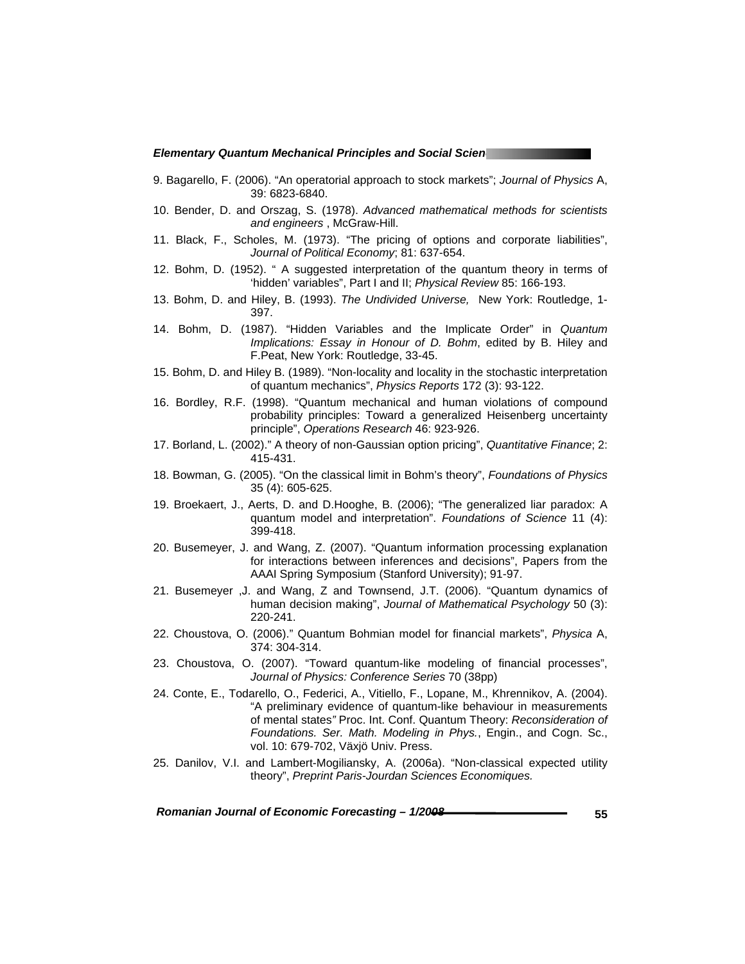- 9. Bagarello, F. (2006). "An operatorial approach to stock markets"; *Journal of Physics* A, 39: 6823-6840.
- 10. Bender, D. and Orszag, S. (1978). *Advanced mathematical methods for scientists and engineers* , McGraw-Hill.
- 11. Black, F., Scholes, M. (1973). "The pricing of options and corporate liabilities", *Journal of Political Economy*; 81: 637-654.
- 12. Bohm, D. (1952). " A suggested interpretation of the quantum theory in terms of 'hidden' variables", Part I and II; *Physical Review* 85: 166-193.
- 13. Bohm, D. and Hiley, B. (1993). *The Undivided Universe,* New York: Routledge, 1- 397.
- 14. Bohm, D. (1987). "Hidden Variables and the Implicate Order" in *Quantum Implications: Essay in Honour of D. Bohm*, edited by B. Hiley and F.Peat, New York: Routledge, 33-45.
- 15. Bohm, D. and Hiley B. (1989). "Non-locality and locality in the stochastic interpretation of quantum mechanics", *Physics Reports* 172 (3): 93-122.
- 16. Bordley, R.F. (1998). "Quantum mechanical and human violations of compound probability principles: Toward a generalized Heisenberg uncertainty principle", *Operations Research* 46: 923-926.
- 17. Borland, L. (2002)." A theory of non-Gaussian option pricing", *Quantitative Finance*; 2: 415-431.
- 18. Bowman, G. (2005). "On the classical limit in Bohm's theory", *Foundations of Physics* 35 (4): 605-625.
- 19. Broekaert, J., Aerts, D. and D.Hooghe, B. (2006); "The generalized liar paradox: A quantum model and interpretation". *Foundations of Science* 11 (4): 399-418.
- 20. Busemeyer, J. and Wang, Z. (2007). "Quantum information processing explanation for interactions between inferences and decisions", Papers from the AAAI Spring Symposium (Stanford University); 91-97.
- 21. Busemeyer ,J. and Wang, Z and Townsend, J.T. (2006). "Quantum dynamics of human decision making", *Journal of Mathematical Psychology* 50 (3): 220-241.
- 22. Choustova, O. (2006)." Quantum Bohmian model for financial markets", *Physica* A, 374: 304-314.
- 23. Choustova, O. (2007). "Toward quantum-like modeling of financial processes", *Journal of Physics: Conference Series* 70 (38pp)
- 24. Conte, E., Todarello, O., Federici, A., Vitiello, F., Lopane, M., Khrennikov, A. (2004). "A preliminary evidence of quantum-like behaviour in measurements of mental states*"* Proc. Int. Conf. Quantum Theory: *Reconsideration of Foundations. Ser. Math. Modeling in Phys.*, Engin., and Cogn. Sc., vol. 10: 679-702, Växjö Univ. Press.
- 25. Danilov, V.I. and Lambert-Mogiliansky, A. (2006a). "Non-classical expected utility theory", *Preprint Paris-Jourdan Sciences Economiques.*

Romanian Journal of Economic Forecasting –  $1/2008$ <br>55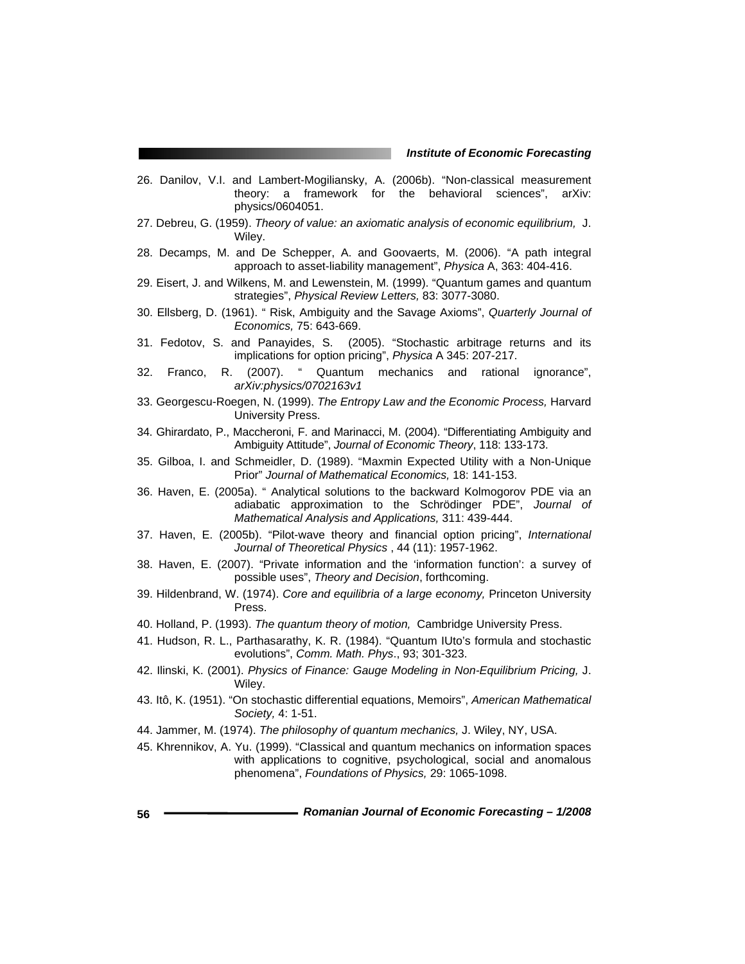- 26. Danilov, V.I. and Lambert-Mogiliansky, A. (2006b). "Non-classical measurement theory: a framework for the behavioral sciences", arXiv: physics/0604051.
- 27. Debreu, G. (1959). *Theory of value: an axiomatic analysis of economic equilibrium,* J. Wiley.
- 28. Decamps, M. and De Schepper, A. and Goovaerts, M. (2006). "A path integral approach to asset-liability management", *Physica* A, 363: 404-416.
- 29. Eisert, J. and Wilkens, M. and Lewenstein, M. (1999). "Quantum games and quantum strategies", *Physical Review Letters,* 83: 3077-3080.
- 30. Ellsberg, D. (1961). " Risk, Ambiguity and the Savage Axioms", *Quarterly Journal of Economics,* 75: 643-669.
- 31. Fedotov, S. and Panayides, S. (2005). "Stochastic arbitrage returns and its implications for option pricing", *Physica* A 345: 207-217.
- 32. Franco, R. (2007). " Quantum mechanics and rational ignorance", *arXiv:physics/0702163v1*
- 33. Georgescu-Roegen, N. (1999). *The Entropy Law and the Economic Process,* Harvard University Press.
- 34. Ghirardato, P., Maccheroni, F. and Marinacci, M. (2004). "Differentiating Ambiguity and Ambiguity Attitude", *Journal of Economic Theory*, 118: 133-173.
- 35. Gilboa, I. and Schmeidler, D. (1989). "Maxmin Expected Utility with a Non-Unique Prior" *Journal of Mathematical Economics,* 18: 141-153.
- 36. Haven, E. (2005a). " Analytical solutions to the backward Kolmogorov PDE via an adiabatic approximation to the Schrödinger PDE", *Journal of Mathematical Analysis and Applications,* 311: 439-444.
- 37. Haven, E. (2005b). "Pilot-wave theory and financial option pricing", *International Journal of Theoretical Physics* , 44 (11): 1957-1962.
- 38. Haven, E. (2007). "Private information and the 'information function': a survey of possible uses", *Theory and Decision*, forthcoming.
- 39. Hildenbrand, W. (1974). *Core and equilibria of a large economy,* Princeton University Press.
- 40. Holland, P. (1993). *The quantum theory of motion,* Cambridge University Press.
- 41. Hudson, R. L., Parthasarathy, K. R. (1984). "Quantum IUto's formula and stochastic evolutions", *Comm. Math. Phys*., 93; 301-323.
- 42. Ilinski, K. (2001). *Physics of Finance: Gauge Modeling in Non-Equilibrium Pricing,* J. Wiley.
- 43. Itô, K. (1951). "On stochastic differential equations, Memoirs", *American Mathematical Society,* 4: 1-51.
- 44. Jammer, M. (1974). *The philosophy of quantum mechanics,* J. Wiley, NY, USA.
- 45. Khrennikov, A. Yu. (1999). "Classical and quantum mechanics on information spaces with applications to cognitive, psychological, social and anomalous phenomena", *Foundations of Physics,* 29: 1065-1098.
- **56** *Romanian Journal of Economic Forecasting 1/2008*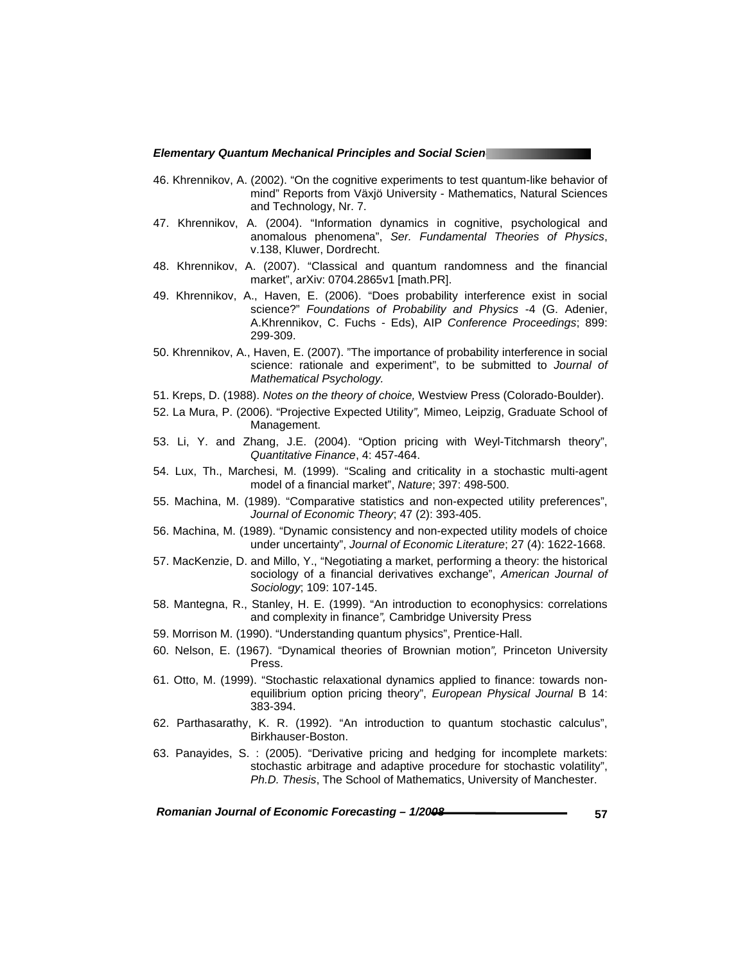- 46. Khrennikov, A. (2002). "On the cognitive experiments to test quantum-like behavior of mind" Reports from Växjö University - Mathematics, Natural Sciences and Technology, Nr. 7.
- 47. Khrennikov, A. (2004). "Information dynamics in cognitive, psychological and anomalous phenomena", *Ser. Fundamental Theories of Physics*, v.138, Kluwer, Dordrecht.
- 48. Khrennikov, A. (2007). "Classical and quantum randomness and the financial market", arXiv: 0704.2865v1 [math.PR].
- 49. Khrennikov, A., Haven, E. (2006). "Does probability interference exist in social science?" *Foundations of Probability and Physics* -4 (G. Adenier, A.Khrennikov, C. Fuchs - Eds), AIP *Conference Proceedings*; 899: 299-309.
- 50. Khrennikov, A., Haven, E. (2007). "The importance of probability interference in social science: rationale and experiment", to be submitted to *Journal of Mathematical Psychology.*
- 51. Kreps, D. (1988). *Notes on the theory of choice,* Westview Press (Colorado-Boulder).
- 52. La Mura, P. (2006). "Projective Expected Utility*",* Mimeo, Leipzig, Graduate School of Management.
- 53. Li, Y. and Zhang, J.E. (2004). "Option pricing with Weyl-Titchmarsh theory", *Quantitative Finance*, 4: 457-464.
- 54. Lux, Th., Marchesi, M. (1999). "Scaling and criticality in a stochastic multi-agent model of a financial market", *Nature*; 397: 498-500.
- 55. Machina, M. (1989). "Comparative statistics and non-expected utility preferences", *Journal of Economic Theory*; 47 (2): 393-405.
- 56. Machina, M. (1989). "Dynamic consistency and non-expected utility models of choice under uncertainty", *Journal of Economic Literature*; 27 (4): 1622-1668.
- 57. MacKenzie, D. and Millo, Y., "Negotiating a market, performing a theory: the historical sociology of a financial derivatives exchange", *American Journal of Sociology*; 109: 107-145.
- 58. Mantegna, R., Stanley, H. E. (1999). "An introduction to econophysics: correlations and complexity in finance*",* Cambridge University Press
- 59. Morrison M. (1990). "Understanding quantum physics", Prentice-Hall.
- 60. Nelson, E. (1967). "Dynamical theories of Brownian motion*",* Princeton University Press.
- 61. Otto, M. (1999). "Stochastic relaxational dynamics applied to finance: towards nonequilibrium option pricing theory", *European Physical Journal* B 14: 383-394.
- 62. Parthasarathy, K. R. (1992). "An introduction to quantum stochastic calculus", Birkhauser-Boston.
- 63. Panayides, S. : (2005). "Derivative pricing and hedging for incomplete markets: stochastic arbitrage and adaptive procedure for stochastic volatility", *Ph.D. Thesis*, The School of Mathematics, University of Manchester.

Romanian Journal of Economic Forecasting – 1/2008 **<b>1997 1998 1998 1998 1998 1999 1999 1999 1999 1999 1999 1999 1999 1999 1999 1999 1999 1999 1999 1999 1999 1999 1999 1999 19**